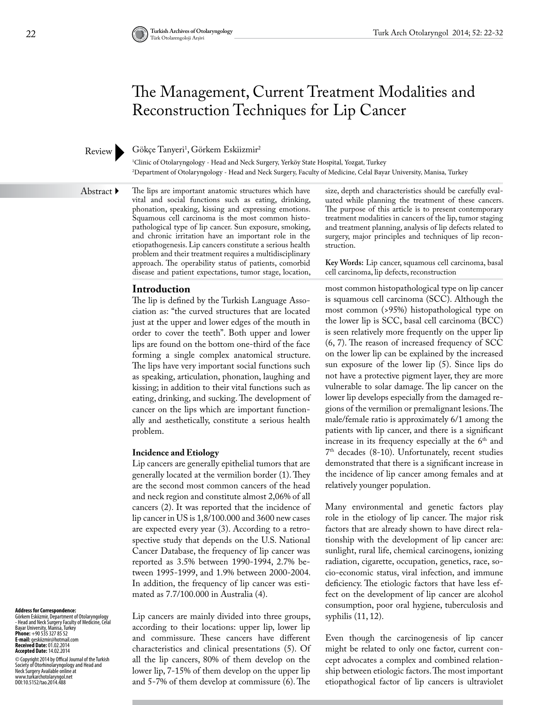# The Management, Current Treatment Modalities and Reconstruction Techniques for Lip Cancer

# Review

Gökçe Tanyeri<sup>1</sup>, Görkem Eskiizmir<sup>2</sup>

1 Clinic of Otolaryngology - Head and Neck Surgery, Yerköy State Hospital, Yozgat, Turkey 2 Department of Otolaryngology - Head and Neck Surgery, Faculty of Medicine, Celal Bayar University, Manisa, Turkey

Abstract ▶

The lips are important anatomic structures which have vital and social functions such as eating, drinking, phonation, speaking, kissing and expressing emotions. Squamous cell carcinoma is the most common histopathological type of lip cancer. Sun exposure, smoking, and chronic irritation have an important role in the etiopathogenesis. Lip cancers constitute a serious health problem and their treatment requires a multidisciplinary approach. The operability status of patients, comorbid disease and patient expectations, tumor stage, location,

# **Introduction**

The lip is defined by the Turkish Language Association as: "the curved structures that are located just at the upper and lower edges of the mouth in order to cover the teeth". Both upper and lower lips are found on the bottom one-third of the face forming a single complex anatomical structure. The lips have very important social functions such as speaking, articulation, phonation, laughing and kissing; in addition to their vital functions such as eating, drinking, and sucking. The development of cancer on the lips which are important functionally and aesthetically, constitute a serious health problem.

# **Incidence and Etiology**

Lip cancers are generally epithelial tumors that are generally located at the vermilion border (1). They are the second most common cancers of the head and neck region and constitute almost 2,06% of all cancers (2). It was reported that the incidence of lip cancer in US is 1,8/100.000 and 3600 new cases are expected every year (3). According to a retrospective study that depends on the U.S. National Cancer Database, the frequency of lip cancer was reported as 3.5% between 1990-1994, 2.7% between 1995-1999, and 1.9% between 2000-2004. In addition, the frequency of lip cancer was estimated as 7.7/100.000 in Australia (4).

**Address for Correspondence:**<br>- Head and Neck Surgery Faculty of Medicine, Celal<br>- Head and Neck Surgery Faculty of Medicine, Celal<br>Bayar University, Manisa, Turkey<br>**Phone:** +90 535 327 85 52 **E-mail:** geskiizmir@hotmail.com **Received Date:** 01.02.2014 **Accepted Date:** 14.02.2014

© Copyright 2014 by Offical Journal of the Turkish<br>Neckety of Otorhinolaryngology and Head and<br>Neck Surgery Available online at<br>www.turkarchotolaryngol.net<br>DOI:10.5152/tao.2014.488

Lip cancers are mainly divided into three groups, according to their locations: upper lip, lower lip and commissure. These cancers have different characteristics and clinical presentations (5). Of all the lip cancers, 80% of them develop on the lower lip, 7-15% of them develop on the upper lip and 5-7% of them develop at commissure (6). The size, depth and characteristics should be carefully evaluated while planning the treatment of these cancers. The purpose of this article is to present contemporary treatment modalities in cancers of the lip, tumor staging and treatment planning, analysis of lip defects related to surgery, major principles and techniques of lip reconstruction.

**Key Words:** Lip cancer, squamous cell carcinoma, basal cell carcinoma, lip defects, reconstruction

most common histopathological type on lip cancer is squamous cell carcinoma (SCC). Although the most common (>95%) histopathological type on the lower lip is SCC, basal cell carcinoma (BCC) is seen relatively more frequently on the upper lip (6, 7). The reason of increased frequency of SCC on the lower lip can be explained by the increased sun exposure of the lower lip (5). Since lips do not have a protective pigment layer, they are more vulnerable to solar damage. The lip cancer on the lower lip develops especially from the damaged regions of the vermilion or premalignant lesions. The male/female ratio is approximately 6/1 among the patients with lip cancer, and there is a significant increase in its frequency especially at the  $6<sup>th</sup>$  and 7th decades (8-10). Unfortunately, recent studies demonstrated that there is a significant increase in the incidence of lip cancer among females and at relatively younger population.

Many environmental and genetic factors play role in the etiology of lip cancer. The major risk factors that are already shown to have direct relationship with the development of lip cancer are: sunlight, rural life, chemical carcinogens, ionizing radiation, cigarette, occupation, genetics, race, socio-economic status, viral infection, and immune deficiency. The etiologic factors that have less effect on the development of lip cancer are alcohol consumption, poor oral hygiene, tuberculosis and syphilis (11, 12).

Even though the carcinogenesis of lip cancer might be related to only one factor, current concept advocates a complex and combined relationship between etiologic factors. The most important etiopathogical factor of lip cancers is ultraviolet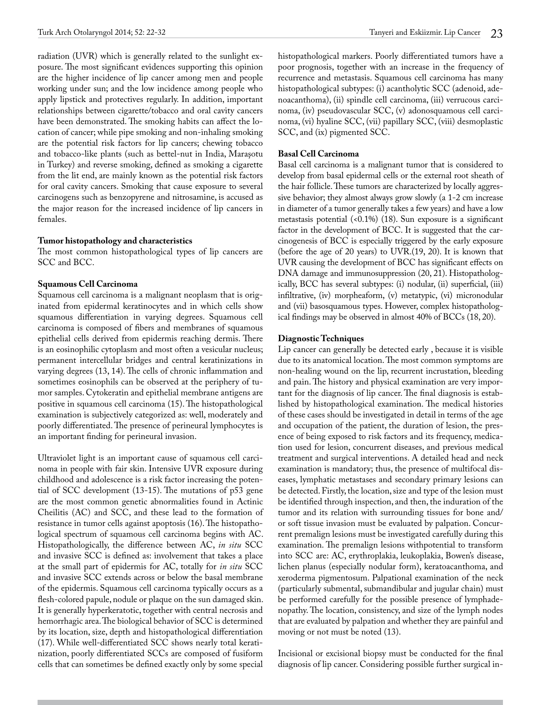radiation (UVR) which is generally related to the sunlight exposure. The most significant evidences supporting this opinion are the higher incidence of lip cancer among men and people working under sun; and the low incidence among people who apply lipstick and protectives regularly. In addition, important relationships between cigarette/tobacco and oral cavity cancers have been demonstrated. The smoking habits can affect the location of cancer; while pipe smoking and non-inhaling smoking are the potential risk factors for lip cancers; chewing tobacco and tobacco-like plants (such as bettel-nut in India, Maraşotu in Turkey) and reverse smoking, defined as smoking a cigarette from the lit end, are mainly known as the potential risk factors for oral cavity cancers. Smoking that cause exposure to several carcinogens such as benzopyrene and nitrosamine, is accused as the major reason for the increased incidence of lip cancers in females.

# **Tumor [histopathology](http://tureng.com/search/histopathology) and characteristics**

The most common histopathological types of lip cancers are SCC and BCC.

# **Squamous Cell Carcinoma**

Squamous cell carcinoma is a malignant neoplasm that is originated from epidermal keratinocytes and in which cells show squamous differentiation in varying degrees. Squamous cell carcinoma is composed of fibers and membranes of squamous epithelial cells derived from epidermis reaching dermis. There is an eosinophilic cytoplasm and most often a vesicular nucleus; permanent intercellular bridges and central keratinizations in varying degrees (13, 14). The cells of chronic inflammation and sometimes eosinophils can be observed at the periphery of tumor samples. Cytokeratin and epithelial membrane antigens are positive in squamous cell carcinoma (15). The histopathological examination is subjectively categorized as: well, moderately and poorly differentiated. The presence of perineural lymphocytes is an important finding for perineural invasion.

Ultraviolet light is an important cause of squamous cell carcinoma in people with fair skin. Intensive UVR exposure during childhood and adolescence is a risk factor increasing the potential of SCC development (13-15). The mutations of p53 gene are the most common genetic abnormalities found in Actinic Cheilitis (AC) and SCC, and these lead to the formation of resistance in tumor cells against apoptosis (16). The histopathological spectrum of squamous cell carcinoma begins with AC. Histopathologically, the difference between AC, *in situ* SCC and invasive SCC is defined as: involvement that takes a place at the small part of epidermis for AC, totally for *in situ* SCC and invasive SCC extends across or below the basal membrane of the epidermis. Squamous cell carcinoma typically occurs as a flesh-colored papule, nodule or plaque on the sun damaged skin. It is generally hyperkeratotic, together with central necrosis and hemorrhagic area. The biological behavior of SCC is determined by its location, size, depth and histopathological differentiation (17). While well-differentiated SCC shows nearly total keratinization, poorly differentiated SCCs are composed of fusiform cells that can sometimes be defined exactly only by some special

histopathological markers. Poorly differentiated tumors have a poor prognosis, together with an increase in the frequency of recurrence and metastasis. Squamous cell carcinoma has many histopathological subtypes: (i) acantholytic SCC (adenoid, adenoacanthoma), (ii) spindle cell carcinoma, (iii) verrucous carcinoma, (iv) pseudovascular SCC, (v) adonosquamous cell carcinoma, (vi) hyaline SCC, (vii) papillary SCC, (viii) desmoplastic SCC, and (ix) pigmented SCC.

# **[Basal Cell Carcinoma](http://tureng.com/search/basal%20cell%20carcinoma)**

[Basal cell carcinoma](http://tureng.com/search/basal%20cell%20carcinoma) is a malignant tumor that is considered to develop from basal epidermal cells or the external root sheath of the hair follicle. These tumors are characterized by locally aggressive behavior; they almost always grow slowly (a 1-2 cm increase in diameter of a tumor generally takes a few years) and have a low metastasis potential (<0.1%) (18). Sun exposure is a significant factor in the development of BCC. It is suggested that the carcinogenesis of BCC is especially triggered by the early exposure (before the age of 20 years) to UVR.(19, 20). It is known that UVR causing the development of [BCC](http://tureng.com/search/basal%20cell%20carcinoma) has significant effects on DNA damage and immunosuppression (20, 21). Histopathologically, BCC has several subtypes: (i) nodular, (ii) superficial, (iii) infiltrative, (iv) morpheaform, (v) metatypic, (vi) micronodular and (vii) basosquamous types. However, complex histopathological findings may be observed in almost 40% of BCCs (18, 20).

#### **Diagnostic Techniques**

Lip cancer can generally be detected early , because it is visible due to its anatomical location. The most common symptoms are non-healing wound on the lip, recurrent incrustation, bleeding and pain. The history and physical examination are very important for the diagnosis of lip cancer. The final diagnosis is established by histopathological examination. The medical histories of these cases should be investigated in detail in terms of the age and occupation of the patient, the duration of lesion, the presence of being exposed to risk factors and its frequency, medication used for lesion, concurrent diseases, and previous medical treatment and surgical interventions. A detailed head and neck examination is mandatory; thus, the presence of multifocal diseases, lymphatic metastases and secondary primary lesions can be detected. Firstly, the location, size and type of the lesion must be identified through inspection, and then, the induration of the tumor and its relation with surrounding tissues for bone and/ or soft tissue invasion must be evaluated by palpation. Concurrent premalign lesions must be investigated carefully during this examination. The premalign lesions withpotential to transform into SCC are: AC, erythroplakia, leukoplakia, Bowen's disease, lichen planus (especially nodular form), keratoacanthoma, and xeroderma pigmentosum. Palpational examination of the neck (particularly submental, submandibular and jugular chain) must be performed carefully for the possible presence of lymphadenopathy. The location, consistency, and size of the lymph nodes that are evaluated by palpation and whether they are painful and moving or not must be noted (13).

Incisional or excisional biopsy must be conducted for the final diagnosis of lip cancer. Considering possible further surgical in-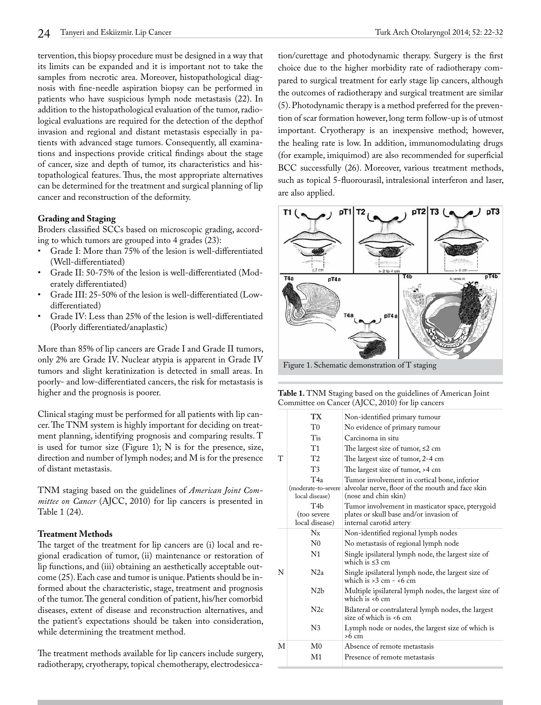tervention, this biopsy procedure must be designed in a way that its limits can be expanded and it is important not to take the samples from necrotic area. Moreover, histopathological diagnosis with fine-needle aspiration biopsy can be performed in patients who have suspicious lymph node metastasis (22). In addition to the histopathological evaluation of the tumor, radiological evaluations are required for the detection of the depthof invasion and regional and distant metastasis especially in patients with advanced stage tumors. Consequently, all examinations and inspections provide critical findings about the stage of cancer, size and depth of tumor, its characteristics and histopathological features. Thus, the most appropriate alternatives can be determined for the treatment and surgical planning of lip cancer and reconstruction of the deformity.

# **Grading and Staging**

Broders classified SCCs based on microscopic grading, according to which tumors are grouped into 4 grades (23):

- Grade I: More than 75% of the lesion is well-differentiated (Well-differentiated)
- Grade II: 50-75% of the lesion is well-differentiated (Moderately differentiated)
- Grade III: 25-50% of the lesion is well-differentiated (Lowdifferentiated)
- Grade IV: Less than 25% of the lesion is well-differentiated (Poorly differentiated/anaplastic)

More than 85% of lip cancers are Grade I and Grade II tumors, only 2% are Grade IV. Nuclear atypia is apparent in Grade IV tumors and slight keratinization is detected in small areas. In poorly- and low-differentiated cancers, the risk for metastasis is higher and the prognosis is poorer.

Clinical staging must be performed for all patients with lip cancer. The TNM system is highly important for deciding on treatment planning, identifying prognosis and comparing results. T is used for tumor size (Figure 1); N is for the presence, size, direction and number of lymph nodes; and M is for the presence of distant metastasis.

TNM staging based on the guidelines of *American Joint Committee on Cancer* (AJCC, 2010) for lip cancers is presented in Table 1 (24).

# **Treatment Methods**

The target of the treatment for lip cancers are (i) local and regional eradication of tumor, (ii) maintenance or restoration of lip functions, and (iii) obtaining an aesthetically acceptable outcome (25). Each case and tumor is unique. Patients should be informed about the characteristic, stage, treatment and prognosis of the tumor. The general condition of patient, his/her comorbid diseases, extent of disease and reconstruction alternatives, and the patient's expectations should be taken into consideration, while determining the treatment method.

The treatment methods available for lip cancers include surgery, radiotherapy, cryotherapy, topical chemotherapy, electrodesiccation/curettage and photodynamic therapy. Surgery is the first choice due to the higher morbidity rate of radiotherapy compared to surgical treatment for early stage lip cancers, although the outcomes of radiotherapy and surgical treatment are similar (5). Photodynamic therapy is a method preferred for the prevention of scar formation however, long term follow-up is of utmost important. Cryotherapy is an inexpensive method; however, the healing rate is low. In addition, immunomodulating drugs (for example, imiquimod) are also recommended for superficial BCC successfully (26). Moreover, various treatment methods, such as topical 5-fluorourasil, intralesional interferon and laser, are also applied.



Figure 1. Schematic demonstration of T staging

| Table 1. TNM Staging based on the guidelines of American Joint |  |
|----------------------------------------------------------------|--|
| Committee on Cancer (AJCC, 2010) for lip cancers               |  |

|   | TХ                                                | Non-identified primary tumour                                                                                            |
|---|---------------------------------------------------|--------------------------------------------------------------------------------------------------------------------------|
|   | T <sub>0</sub>                                    | No evidence of primary tumour                                                                                            |
|   | Tis                                               | Carcinoma in situ                                                                                                        |
|   | T1                                                | The largest size of tumor, $\leq 2$ cm                                                                                   |
| T | T <sub>2</sub>                                    | The largest size of tumor, 2-4 cm                                                                                        |
|   | T3                                                | The largest size of tumor, >4 cm                                                                                         |
|   | T4a<br>(moderate-to-severe<br>local disease)      | Tumor involvement in cortical bone, inferior<br>alveolar nerve, floor of the mouth and face skin<br>(nose and chin skin) |
|   | T <sub>4</sub> h<br>(too severe<br>local disease) | Tumor involvement in masticator space, pterygoid<br>plates or skull base and/or invasion of<br>internal carotid artery   |
|   | $N_{X}$                                           | Non-identified regional lymph nodes                                                                                      |
|   | N <sub>0</sub>                                    | No metastasis of regional lymph node                                                                                     |
|   | N1                                                | Single ipsilateral lymph node, the largest size of<br>which is $\leq$ 3 cm                                               |
| N | N2a                                               | Single ipsilateral lymph node, the largest size of<br>which is $>3$ cm $-$ <6 cm                                         |
|   | N2 <sub>b</sub>                                   | Multiple ipsilateral lymph nodes, the largest size of<br>which is $<6$ cm                                                |
|   | N2c                                               | Bilateral or contralateral lymph nodes, the largest<br>size of which is <6 cm                                            |
|   | N3                                                | Lymph node or nodes, the largest size of which is<br>$>6$ cm                                                             |
| М | M0                                                | Absence of remote metastasis                                                                                             |
|   | M1                                                | Presence of remote metastasis                                                                                            |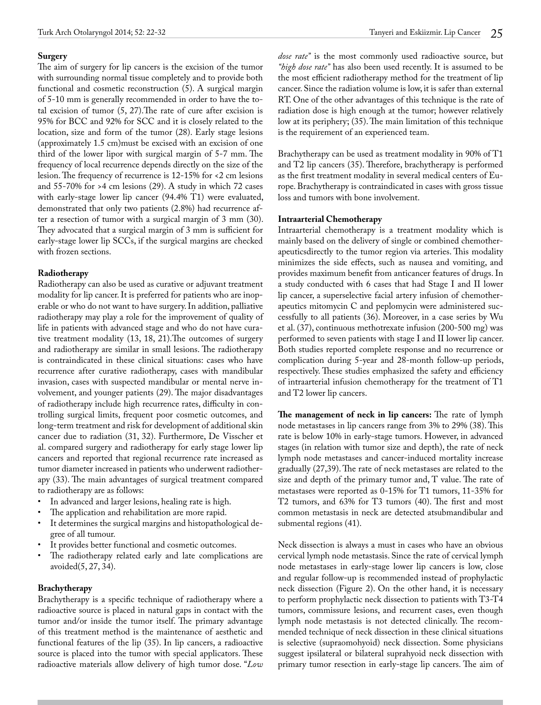# **Surgery**

The aim of surgery for lip cancers is the excision of the tumor with surrounding normal tissue completely and to provide both functional and cosmetic reconstruction (5). A surgical margin of 5-10 mm is generally recommended in order to have the total excision of tumor  $(5, 27)$ . The rate of cure after excision is 95% for BCC and 92% for SCC and it is closely related to the location, size and form of the tumor (28). Early stage lesions (approximately 1.5 cm)must be excised with an excision of one third of the lower lipor with surgical margin of 5-7 mm. The frequency of local recurrence depends directly on the size of the lesion. The frequency of recurrence is 12-15% for <2 cm lesions and 55-70% for >4 cm lesions (29). A study in which 72 cases with early-stage lower lip cancer (94.4% T1) were evaluated, demonstrated that only two patients (2.8%) had recurrence after a resection of tumor with a surgical margin of 3 mm (30). They advocated that a surgical margin of 3 mm is sufficient for early-stage lower lip SCCs, if the surgical margins are checked with frozen sections.

# **Radiotherapy**

Radiotherapy can also be used as curative or adjuvant treatment modality for lip cancer. It is preferred for patients who are inoperable or who do not want to have surgery. In addition, palliative radiotherapy may play a role for the improvement of quality of life in patients with advanced stage and who do not have curative treatment modality (13, 18, 21).The outcomes of surgery and radiotherapy are similar in small lesions. The radiotherapy is contraindicated in these clinical situations: cases who have recurrence after curative radiotherapy, cases with mandibular invasion, cases with suspected mandibular or mental nerve involvement, and younger patients (29). The major disadvantages of radiotherapy include high recurrence rates, difficulty in controlling surgical limits, frequent poor cosmetic outcomes, and long-term treatment and risk for development of additional skin cancer due to radiation (31, 32). Furthermore, De Visscher et al. compared surgery and radiotherapy for early stage lower lip cancers and reported that regional recurrence rate increased as tumor diameter increased in patients who underwent radiotherapy (33). The main advantages of surgical treatment compared to radiotherapy are as follows:

- In advanced and larger lesions, healing rate is high.
- The application and rehabilitation are more rapid.
- It determines the surgical margins and histopathological degree of all tumour.
- It provides better functional and cosmetic outcomes.
- The radiotherapy related early and late complications are avoided(5, 27, 34).

# **Brachytherapy**

Brachytherapy is a specific technique of radiotherapy where a radioactive source is placed in natural gaps in contact with the tumor and/or inside the tumor itself. The primary advantage of this treatment method is the maintenance of aesthetic and functional features of the lip (35). In lip cancers, a radioactive source is placed into the tumor with special applicators. These radioactive materials allow delivery of high tumor dose. "*Low*  *dose rate"* is the most commonly used radioactive source, but *"high dose rate"* has also been used recently. It is assumed to be the most efficient radiotherapy method for the treatment of lip cancer. Since the radiation volume is low, it is safer than external RT. One of the other advantages of this technique is the rate of radiation dose is high enough at the tumor; however relatively low at its periphery; (35). The main limitation of this technique is the requirement of an experienced team.

Brachytherapy can be used as treatment modality in 90% of T1 and T2 lip cancers (35). Therefore, brachytherapy is performed as the first treatment modality in several medical centers of Europe. Brachytherapy is contraindicated in cases with gross tissue loss and tumors with bone involvement.

# **Intraarterial Chemotherapy**

Intraarterial chemotherapy is a treatment modality which is mainly based on the delivery of single or combined chemotherapeuticsdirectly to the tumor region via arteries. This modality minimizes the side effects, such as nausea and vomiting, and provides maximum benefit from anticancer features of drugs. In a study conducted with 6 cases that had Stage I and II lower lip cancer, a superselective facial artery infusion of chemotherapeutics mitomycin C and peplomycin were administered successfully to all patients (36). Moreover, in a case series by Wu et al. (37), continuous methotrexate infusion (200-500 mg) was performed to seven patients with stage I and II lower lip cancer. Both studies reported complete response and no recurrence or complication during 5-year and 28-month follow-up periods, respectively. These studies emphasized the safety and efficiency of intraarterial infusion chemotherapy for the treatment of T1 and T2 lower lip cancers.

**The management of neck in lip cancers:** The rate of lymph node metastases in lip cancers range from 3% to 29% (38). This rate is below 10% in early-stage tumors. However, in advanced stages (in relation with tumor size and depth), the rate of neck lymph node metastases and cancer-induced mortality increase gradually (27,39). The rate of neck metastases are related to the size and depth of the primary tumor and, T value. The rate of metastases were reported as 0-15% for T1 tumors, 11-35% for T2 tumors, and 63% for T3 tumors (40). The first and most common metastasis in neck are detected atsubmandibular and submental regions (41).

Neck dissection is always a must in cases who have an obvious cervical lymph node metastasis. Since the rate of cervical lymph node metastases in early-stage lower lip cancers is low, close and regular follow-up is recommended instead of prophylactic neck dissection (Figure 2). On the other hand, it is necessary to perform prophylactic neck dissection to patients with T3-T4 tumors, commissure lesions, and recurrent cases, even though lymph node metastasis is not detected clinically. The recommended technique of neck dissection in these clinical situations is selective (supraomohyoid) neck dissection. Some physicians suggest ipsilateral or bilateral suprahyoid neck dissection with primary tumor resection in early-stage lip cancers. The aim of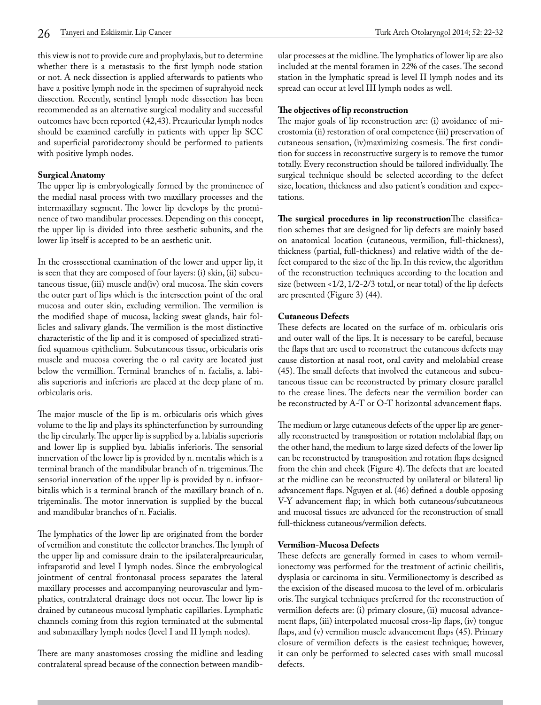this view is not to provide cure and prophylaxis, but to determine whether there is a metastasis to the first lymph node station or not. A neck dissection is applied afterwards to patients who have a positive lymph node in the specimen of suprahyoid neck dissection. Recently, sentinel lymph node dissection has been recommended as an alternative surgical modality and successful outcomes have been reported (42,43). Preauricular lymph nodes should be examined carefully in patients with upper lip SCC and superficial parotidectomy should be performed to patients with positive lymph nodes.

# **Surgical Anatomy**

The upper lip is embryologically formed by the prominence of the medial nasal process with two maxillary processes and the intermaxillary segment. The lower lip develops by the prominence of two mandibular processes. Depending on this concept, the upper lip is divided into three aesthetic subunits, and the lower lip itself is accepted to be an aesthetic unit.

In the crosssectional examination of the lower and upper lip, it is seen that they are composed of four layers: (i) skin, (ii) subcutaneous tissue, (iii) muscle and(iv) oral mucosa. The skin covers the outer part of lips which is the intersection point of the oral mucosa and outer skin, excluding vermilion. The vermilion is the modified shape of mucosa, lacking sweat glands, hair follicles and salivary glands. The vermilion is the most distinctive characteristic of the lip and it is composed of specialized stratified squamous epithelium. Subcutaneous tissue, orbicularis oris muscle and mucosa covering the o ral cavity are located just below the vermillion. Terminal branches of n. facialis, a. labialis superioris and inferioris are placed at the deep plane of m. orbicularis oris.

The major muscle of the lip is m. orbicularis oris which gives volume to the lip and plays its [sphincter](http://tureng.com/search/sphincter)function by surrounding the lip circularly. The upper lip is supplied by a. labialis superioris and lower lip is supplied bya. labialis inferioris. The sensorial innervation of the lower lip is provided by n. mentalis which is a terminal branch of the mandibular branch of n. trigeminus. The sensorial innervation of the upper lip is provided by n. infraorbitalis which is a terminal branch of the maxillary branch of n. trigeminalis. The motor innervation is supplied by the buccal and mandibular branches of n. Facialis.

The lymphatics of the lower lip are originated from the border of vermilion and constitute the collector branches. The lymph of the upper lip and comissure drain to the ipsilatera[lpreauricular](http://tureng.com/search/preauricular), infraparotid and level I lymph nodes. Since the embryological jointment of central frontonasal process separates the lateral maxillary processes and accompanying neurovascular and lymphatics, contralateral drainage does not occur. The lower lip is drained by [cutaneous](http://tureng.com/search/cutaneous) mucosal lymphatic capillaries. Lymphatic channels coming from this region terminated at the submental and submaxillary lymph nodes (level I and II lymph nodes).

There are many anastomoses crossing the midline and leading contralateral spread because of the connection between mandibular processes at the midline. The lymphatics of lower lip are also included at the mental foramen in 22% of the cases. The second station in the lymphatic spread is level II lymph nodes and its spread can occur at level III lymph nodes as well.

# **The objectives of lip reconstruction**

The major goals of lip reconstruction are: (i) avoidance of microstomia (ii) restoration of oral competence (iii) preservation of cutaneous sensation, (iv)maximizing cosmesis. The first condition for success in reconstructive surgery is to remove the tumor totally. Every reconstruction should be tailored individually. The surgical technique should be selected according to the defect size, location, thickness and also patient's condition and expectations.

**The surgical procedures in lip reconstruction**The classification schemes that are designed for lip defects are mainly based on anatomical location (cutaneous, vermilion, full-thickness), thickness (partial, full-thickness) and relative width of the defect compared to the size of the lip. In this review, the algorithm of the reconstruction techniques according to the location and size (between <1/2, 1/2-2/3 total, or near total) of the lip defects are presented (Figure 3) (44).

# **Cutaneous Defects**

These defects are located on the surface of m. orbicularis oris and outer wall of the lips. It is necessary to be careful, because the flaps that are used to reconstruct the cutaneous defects may cause distortion at nasal root, oral cavity and melolabial crease (45). The small defects that involved the cutaneous and subcutaneous tissue can be reconstructed by primary closure parallel to the crease lines. The defects near the vermilion border can be reconstructed by A-T or O-T horizontal advancement flaps.

The medium or large cutaneous defects of the upper lip are generally reconstructed by transposition or rotation melolabial flap; on the other hand, the medium to large sized defects of the lower lip can be reconstructed by transposition and rotation flaps designed from the chin and cheek (Figure 4). The defects that are located at the midline can be reconstructed by unilateral or bilateral lip advancement flaps. Nguyen et al. (46) defined a double opposing V-Y advancement flap; in which both cutaneous/subcutaneous and mucosal tissues are advanced for the reconstruction of small full-thickness cutaneous/vermilion defects.

# **Vermilion-Mucosa Defects**

These defects are generally formed in cases to whom vermilionectomy was performed for the treatment of actinic cheilitis, dysplasia or carcinoma in situ. Vermilionectomy is described as the excision of the diseased mucosa to the level of m. orbicularis oris. The [surgical techniques](http://tureng.com/search/surgical%20technique) preferred for the reconstruction of vermilion defects are: (i) primary closure, (ii) mucosal advancement flaps, (iii) interpolated mucosal cross-lip flaps, (iv) tongue flaps, and (v) vermilion muscle advancement flaps (45). Primary closure of vermilion defects is the easiest technique; however, it can only be performed to selected cases with small mucosal defects.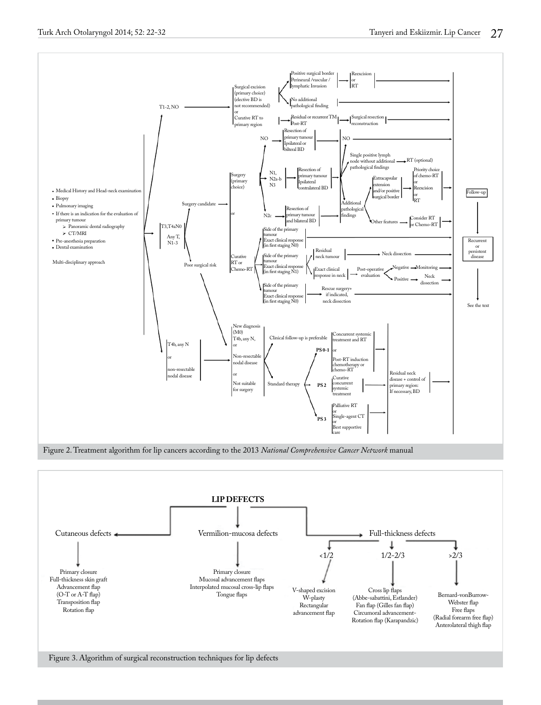



Figure 3. Algorithm of surgical reconstruction techniques for lip defects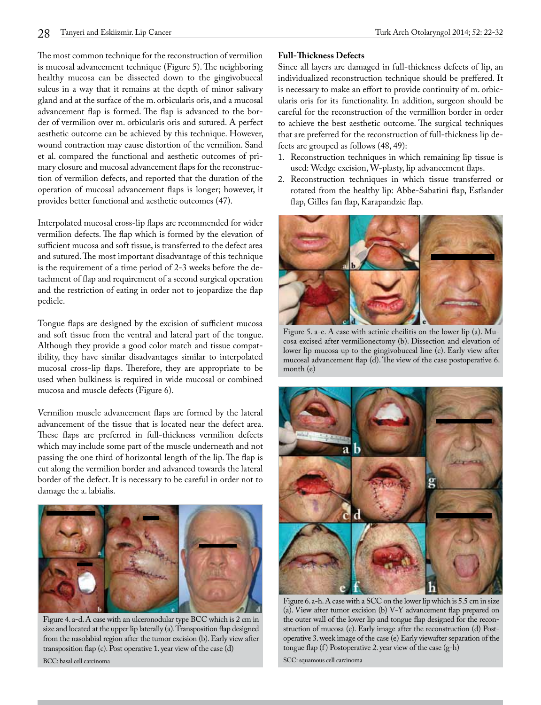The most common technique for the reconstruction of vermilion is mucosal advancement technique (Figure 5). The neighboring healthy mucosa can be dissected down to the gingivobuccal sulcus in a way that it remains at the depth of minor salivary gland and at the surface of the m. orbicularis oris, and a mucosal advancement flap is formed. The flap is advanced to the border of vermilion over m. orbicularis oris and sutured. A perfect aesthetic outcome can be achieved by this technique. However, wound contraction may cause distortion of the vermilion. Sand et al. compared the functional and aesthetic outcomes of primary closure and mucosal advancement flaps for the reconstruction of vermilion defects, and reported that the duration of the operation of mucosal advancement flaps is longer; however, it provides better functional and aesthetic outcomes (47).

Interpolated mucosal cross-lip flaps are recommended for wider vermilion defects. The flap which is formed by the elevation of sufficient mucosa and soft tissue, is transferred to the defect area and sutured. The most important disadvantage of this technique is the requirement of a time period of 2-3 weeks before the detachment of flap and requirement of a second surgical operation and the restriction of eating in order not to jeopardize the flap pedicle.

Tongue flaps are designed by the excision of sufficient mucosa and soft tissue from the ventral and lateral part of the tongue. Although they provide a good color match and tissue compatibility, they have similar disadvantages similar to interpolated mucosal cross-lip flaps. Therefore, they are appropriate to be used when bulkiness is required in wide mucosal or combined mucosa and muscle defects (Figure 6).

Vermilion muscle advancement flaps are formed by the lateral advancement of the tissue that is located near the defect area. These flaps are preferred in full-thickness vermilion defects which may include some part of the muscle underneath and not passing the one third of horizontal length of the lip. The flap is cut along the vermilion border and advanced towards the lateral border of the defect. It is necessary to be careful in order not to damage the a. labialis.



Figure 4. a-d. A case with an ulceronodular type BCC which is 2 cm in size and located at the upper lip laterally (a). Transposition flap designed from the nasolabial region after the tumor excision (b). Early view after transposition flap (c). Post operative 1. year view of the case (d) BCC: basal cell carcinoma

# **Full-Thickness Defects**

Since all layers are damaged in full-thickness defects of lip, an individualized reconstruction technique should be preffered. It is necessary to make an effort to provide continuity of m. orbicularis oris for its functionality. In addition, surgeon should be careful for the reconstruction of the vermillion border in order to achieve the best aesthetic outcome. The surgical techniques that are preferred for the reconstruction of full-thickness lip defects are grouped as follows (48, 49):

- 1. Reconstruction techniques in which remaining lip tissue is used: Wedge excision, W-plasty, lip advancement flaps.
- 2. Reconstruction techniques in which tissue transferred or rotated from the healthy lip: Abbe-Sabatini flap, Estlander flap, Gilles fan flap, Karapandzic flap.



Figure 5. a-e. A case with actinic cheilitis on the lower lip (a). Mucosa excised after vermilionectomy (b). Dissection and elevation of lower lip mucosa up to the gingivobuccal line (c). Early view after mucosal advancement flap (d). The view of the case postoperative 6. month (e)



Figure 6. a-h. A case with a SCC on the lower lip which is 5.5 cm in size (a). View after tumor excision (b) V‐Y advancement flap prepared on the outer wall of the lower lip and tongue flap designed for the reconstruction of mucosa (c). Early image after the reconstruction (d) Postoperative 3. week image of the case (e) Early viewafter separation of the tongue flap (f) Postoperative 2. year view of the case (g‐h)

SCC: squamous cell carcinoma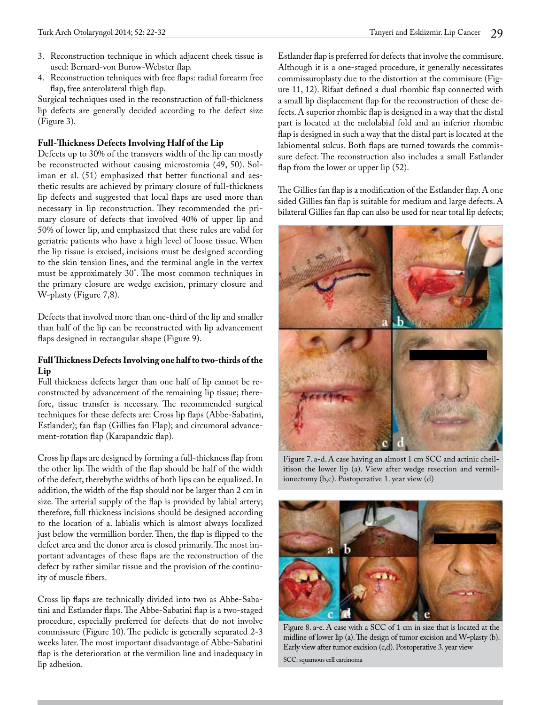- 3. Reconstruction technique in which adjacent cheek tissue is used: Bernard-von Burow-Webster flap.
- 4. Reconstruction tehniques with free flaps: radial forearm free flap, free anterolateral thigh flap.

Surgical techniques used in the reconstruction of full-thickness lip defects are generally decided according to the defect size (Figure 3).

# **Full-Thickness Defects Involving Half of the Lip**

Defects up to 30% of the transvers width of the lip can mostly be reconstructed without causing microstomia (49, 50). Soliman et al. (51) emphasized that better functional and aesthetic results are achieved by primary closure of full-thickness lip defects and suggested that local flaps are used more than necessary in lip reconstruction. They recommended the primary closure of defects that involved 40% of upper lip and 50% of lower lip, and emphasized that these rules are valid for geriatric patients who have a high level of loose tissue. When the lip tissue is excised, incisions must be designed according to the skin tension lines, and the terminal angle in the vertex must be approximately 30°. The most common techniques in the primary closure are wedge excision, primary closure and W-plasty (Figure 7,8).

Defects that involved more than one-third of the lip and smaller than half of the lip can be reconstructed with lip advancement flaps designed in rectangular shape (Figure 9).

# **Full Thickness Defects Involving one half to two-thirds of the Lip**

Full thickness defects larger than one half of lip cannot be reconstructed by advancement of the remaining lip tissue; therefore, tissue transfer is necessary. The recommended surgical techniques for these defects are: Cross lip flaps (Abbe-Sabatini, Estlander); fan flap (Gillies fan Flap); and circumoral advancement-rotation flap (Karapandzic flap).

Cross lip flaps are designed by forming a full-thickness flap from the other lip. The width of the flap should be half of the width of the defect, therebythe widths of both lips can be equalized. In addition, the width of the flap should not be larger than 2 cm in size. The arterial supply of the flap is provided by labial artery; therefore, full thickness incisions should be designed according to the location of a. labialis which is almost always localized just below the vermillion border. Then, the flap is flipped to the defect area and the donor area is closed primarily. The most important advantages of these flaps are the reconstruction of the defect by rather similar tissue and the provision of the continuity of muscle fibers.

Cross lip flaps are technically divided into two as Abbe-Sabatini and Estlander flaps. The Abbe-Sabatini flap is a two-staged procedure, especially preferred for defects that do not involve commissure (Figure 10). The pedicle is generally separated 2-3 weeks later. The most important disadvantage of Abbe-Sabatini flap is the deterioration at the vermilion line and inadequacy in lip adhesion.

Estlander flap is preferred for defects that involve the commisure. Although it is a one-staged procedure, it generally necessitates commissuroplasty due to the distortion at the commisure (Figure 11, 12). Rifaat defined a dual rhombic flap connected with a small lip displacement flap for the reconstruction of these defects. A superior rhombic flap is designed in a way that the distal part is located at the melolabial fold and an inferior rhombic flap is designed in such a way that the distal part is located at the labiomental sulcus. Both flaps are turned towards the commissure defect. The reconstruction also includes a small Estlander flap from the lower or upper lip (52).

The Gillies fan flap is a modification of the Estlander flap. A one sided Gillies fan flap is suitable for medium and large defects. A bilateral Gillies fan flap can also be used for near total lip defects;



Figure 7. a-d. A case having an almost 1 cm SCC and actinic cheilitison the lower lip (a). View after wedge resection and vermilionectomy (b,c). Postoperative 1. year view (d)



Figure 8. a-e. A case with a SCC of 1 cm in size that is located at the midline of lower lip (a). The design of tumor excision and W‐plasty (b). Early view after tumor excision (c,d). Postoperative 3. year view SCC: squamous cell carcinoma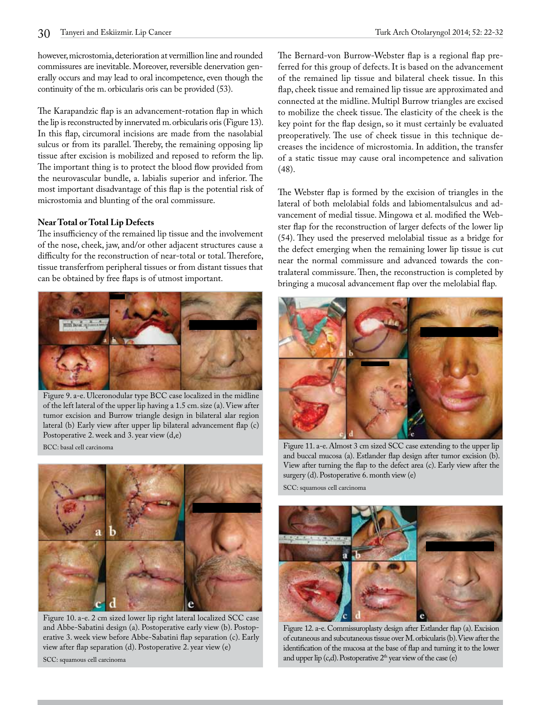however, microstomia, deterioration at vermillion line and rounded commissures are inevitable. Moreover, reversible denervation generally occurs and may lead to oral incompetence, even though the continuity of the m. orbicularis oris can be provided (53).

The Karapandzic flap is an advancement-rotation flap in which the lip is reconstructed by innervated m. orbicularis oris (Figure 13). In this flap, circumoral incisions are made from the nasolabial sulcus or from its parallel. Thereby, the remaining opposing lip tissue after excision is mobilized and reposed to reform the lip. The important thing is to protect the blood flow provided from the neurovascular bundle, a. labialis superior and inferior. The most important disadvantage of this flap is the potential risk of microstomia and blunting of the oral commissure.

# **Near Total or Total Lip Defects**

The insufficiency of the remained lip tissue and the involvement of the nose, cheek, jaw, and/or other adjacent structures cause a difficulty for the reconstruction of near-total or total. Therefore, tissue transferfrom peripheral tissues or from distant tissues that can be obtained by free flaps is of utmost important.



Figure 9. a-e. Ulceronodular type BCC case localized in the midline of the left lateral of the upper lip having a 1.5 cm. size (a). View after tumor excision and Burrow triangle design in bilateral alar region lateral (b) Early view after upper lip bilateral advancement flap (c) Postoperative 2. week and 3. year view (d,e)

BCC: basal cell carcinoma



Figure 10. a-e. 2 cm sized lower lip right lateral localized SCC case and Abbe‐Sabatini design (a). Postoperative early view (b). Postoperative 3. week view before Abbe‐Sabatini flap separation (c). Early view after flap separation (d). Postoperative 2. year view (e) SCC: squamous cell carcinoma

The Bernard-von Burrow-Webster flap is a regional flap preferred for this group of defects. It is based on the advancement of the remained lip tissue and bilateral cheek tissue. In this flap, cheek tissue and remained lip tissue are approximated and connected at the midline. Multipl Burrow triangles are excised to mobilize the cheek tissue. The elasticity of the cheek is the key point for the flap design, so it must certainly be evaluated preoperatively. The use of cheek tissue in this technique decreases the incidence of microstomia. In addition, the transfer of a static tissue may cause oral incompetence and salivation (48).

The Webster flap is formed by the excision of triangles in the lateral of both melolabial folds and labiomentalsulcus and advancement of medial tissue. Mingowa et al. modified the Webster flap for the reconstruction of larger defects of the lower lip (54). They used the preserved melolabial tissue as a bridge for the defect emerging when the remaining lower lip tissue is cut near the normal commissure and advanced towards the contralateral commissure. Then, the reconstruction is completed by bringing a mucosal advancement flap over the melolabial flap.



Figure 11. a-e. Almost 3 cm sized SCC case extending to the upper lip and buccal mucosa (a). Estlander flap design after tumor excision (b). View after turning the flap to the defect area (c). Early view after the surgery (d). Postoperative 6. month view (e)

SCC: squamous cell carcinoma



Figure 12. a-e. Commissuroplasty design after Estlander flap (a). Excision of cutaneous and subcutaneous tissue over M. orbicularis (b). View after the identification of the mucosa at the base of flap and turning it to the lower and upper lip  $(c,d)$ . Postoperative  $2<sup>th</sup>$  year view of the case  $(e)$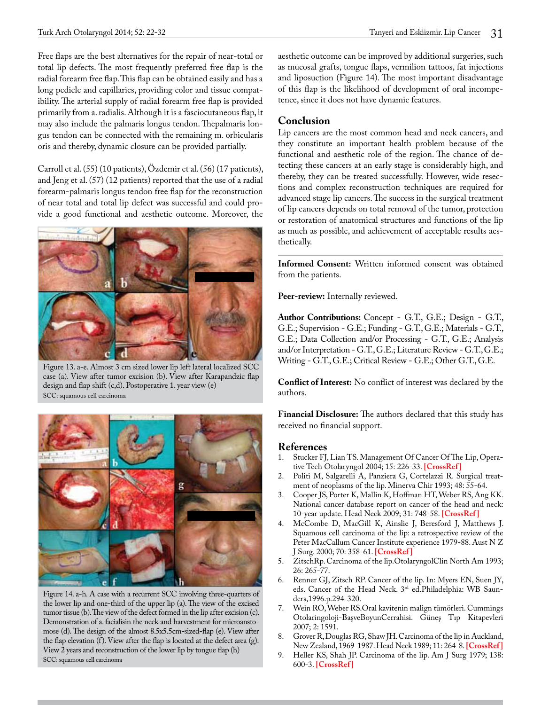Free flaps are the best alternatives for the repair of near-total or total lip defects. The most frequently preferred free flap is the radial forearm free flap. This flap can be obtained easily and has a long pedicle and capillaries, providing color and tissue compatibility. The arterial supply of radial forearm free flap is provided primarily from a. radialis. Although it is a fasciocutaneous flap, it may also include the palmaris longus tendon. Thepalmaris longus tendon can be connected with the remaining m. orbicularis oris and thereby, dynamic closure can be provided partially.

Carroll et al. (55) (10 patients), Özdemir et al. (56) (17 patients), and Jeng et al. (57) (12 patients) reported that the use of a radial forearm-palmaris longus tendon free flap for the reconstruction of near total and total lip defect was successful and could provide a good functional and aesthetic outcome. Moreover, the



Figure 13. a-e. Almost 3 cm sized lower lip left lateral localized SCC case (a). View after tumor excision (b). View after Karapandzic flap design and flap shift (c,d). Postoperative 1. year view (e) SCC: squamous cell carcinoma



Figure 14. a-h. A case with a recurrent SCC involving three-quarters of the lower lip and one‐third of the upper lip (a). The view of the excised tumor tissue (b). The view of the defect formed in the lip after excision (c). Demonstration of a. facialisin the neck and harvestment for microanstomose (d). The design of the almost 8.5x5.5cm‐sized‐flap (e). View after the flap elevation (f). View after the flap is located at the defect area (g). View 2 years and reconstruction of the lower lip by tongue flap (h) SCC: squamous cell carcinoma

aesthetic outcome can be improved by additional surgeries, such as mucosal grafts, tongue flaps, vermilion tattoos, fat injections and liposuction (Figure 14). The most important disadvantage of this flap is the likelihood of development of oral incompetence, since it does not have dynamic features.

# **Conclusion**

Lip cancers are the most common head and neck cancers, and they constitute an important health problem because of the functional and aesthetic role of the region. The chance of detecting these cancers at an early stage is considerably high, and thereby, they can be treated successfully. However, wide resections and complex reconstruction techniques are required for advanced stage lip cancers. The success in the surgical treatment of lip cancers depends on total removal of the tumor, protection or restoration of anatomical structures and functions of the lip as much as possible, and achievement of acceptable results aesthetically.

**Informed Consent:** Written informed consent was obtained from the patients.

Peer-review: Internally reviewed.

**Author Contributions:** Concept - G.T., G.E.; Design - G.T., G.E.; Supervision - G.E.; Funding - G.T., G.E.; Materials - G.T., G.E.; Data Collection and/or Processing - G.T., G.E.; Analysis and/or Interpretation - G.T., G.E.; Literature Review - G.T., G.E.; Writing - G.T., G.E.; Critical Review - G.E.; Other G.T., G.E.

**Conflict of Interest:** No conflict of interest was declared by the authors.

**Financial Disclosure:** The authors declared that this study has received no financial support.

# **References**<br>1. Stucker FL

- Stucker FJ, Lian TS. Management Of Cancer Of The Lip, Operative Tech Otolaryngol 2004; 15: 226-33. **[[CrossRef](http://dx.doi.org/10.1016/j.otot.2004.06.003) ]**
- 2. Politi M, Salgarelli A, Panziera G, Cortelazzi R. Surgical treatment of neoplasms of the lip. Minerva Chir 1993; 48: 55-64.
- 3. Cooper JS, Porter K, Mallin K, Hoffman HT, Weber RS, Ang KK. National cancer database report on cancer of the head and neck: 10-year update. Head Neck 2009; 31: 748-58. **[[CrossRef](http://dx.doi.org/10.1002/hed.21022) ]**
- 4. McCombe D, MacGill K, Ainslie J, Beresford J, Matthews J. Squamous cell carcinoma of the lip: a retrospective review of the Peter MacCallum Cancer Institute experience 1979-88. Aust N Z J Surg. 2000; 70: 358-61. **[\[CrossRef \]](http://dx.doi.org/10.1046/j.1440-1622.2000.01827.x)**
- 5. ZitschRp. Carcinoma of the lip.OtolaryngolClin North Am 1993; 26: 265-77.
- 6. Renner GJ, Zitsch RP. Cancer of the lip. In: Myers EN, Suen JY, eds. Cancer of the Head Neck. 3rd ed.Philadelphia: WB Saunders,1996.p.294-320.
- 7. Wein RO, Weber RS.Oral kavitenin malign tümörleri. Cummings Otolaringoloji-BaşveBoyunCerrahisi. Güneş Tıp Kitapevleri 2007; 2: 1591.
- 8. Grover R, Douglas RG, Shaw JH. Carcinoma of the lip in Auckland, New Zealand, 1969-1987. Head Neck 1989; 11: 264-8. **[\[CrossRef \]](http://dx.doi.org/10.1002/hed.2880110313)**
- 9. Heller KS, Shah JP. Carcinoma of the lip. Am J Surg 1979; 138: 600-3. **[[CrossRef](http://dx.doi.org/10.1016/0002-9610(79)90427-6) ]**